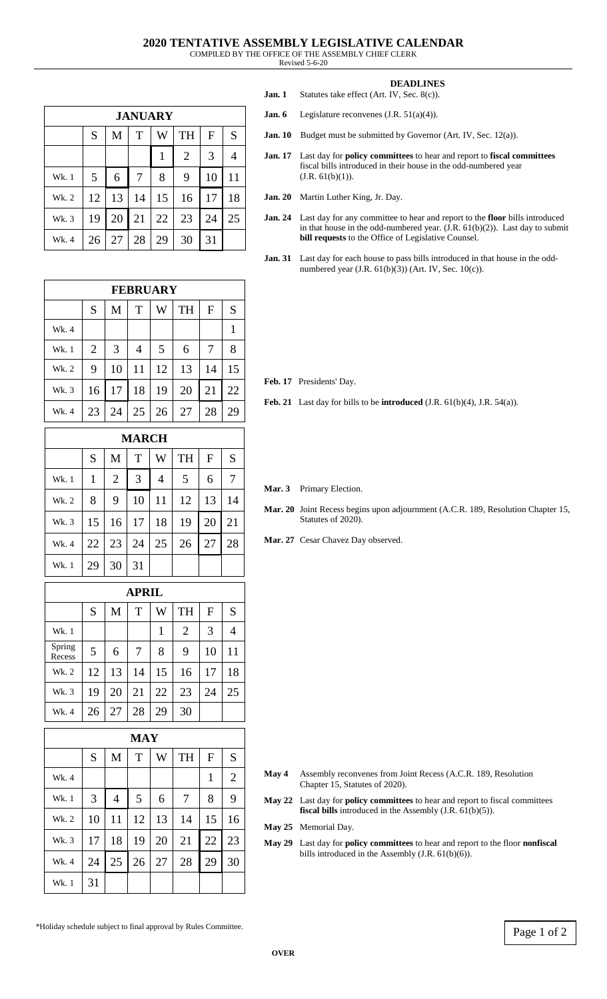Revised 5-6-20

| <b>JANUARY</b> |    |    |    |    |                |    |    |  |
|----------------|----|----|----|----|----------------|----|----|--|
|                | S  | M  | T  | W  | TH             | F  | S  |  |
|                |    |    |    | 1  | $\overline{2}$ | 3  |    |  |
| Wk. 1          | 5  | 6  | 7  | 8  | 9              | 10 | 11 |  |
| Wk. 2          | 12 | 13 | 14 | 15 | 16             | 17 | 18 |  |
| Wk. 3          | 19 | 20 | 21 | 22 | 23             | 24 | 25 |  |
| Wk. 4          | 26 | 27 | 28 | 29 | 30             | 31 |    |  |

| <b>FEBRUARY</b> |                |    |    |    |           |    |    |
|-----------------|----------------|----|----|----|-----------|----|----|
|                 | S              | M  | T  | W  | <b>TH</b> | F  | S  |
| Wk. 4           |                |    |    |    |           |    |    |
| Wk. 1           | $\overline{2}$ | 3  | 4  | 5  | 6         | 7  | 8  |
| Wk. 2           | 9              | 10 | 11 | 12 | 13        | 14 | 15 |
| Wk. 3           | 16             | 17 | 18 | 19 | 20        | 21 | 22 |
| Wk. 4           | 23             | 24 | 25 | 26 | 27        | 28 | 29 |

| <b>MARCH</b> |              |    |    |    |           |    |    |
|--------------|--------------|----|----|----|-----------|----|----|
|              | S            | M  | T  | W  | <b>TH</b> | F  | S  |
| Wk. 1        | $\mathbf{1}$ | 2  | 3  | 4  | 5         | 6  |    |
| Wk. 2        | 8            | 9  | 10 | 11 | 12        | 13 | 14 |
| Wk. 3        | 15           | 16 | 17 | 18 | 19        | 20 | 21 |
| Wk. 4        | 22           | 23 | 24 | 25 | 26        | 27 | 28 |
| Wk. 1        | 29           | 30 | 31 |    |           |    |    |

## **APRIL**

|                  | S  | M  | T  | W  | <b>TH</b>      | F  | S  |
|------------------|----|----|----|----|----------------|----|----|
| Wk. 1            |    |    |    |    | $\overline{2}$ | 3  | 4  |
| Spring<br>Recess | 5  | 6  |    | 8  | 9              | 10 | 11 |
| Wk. 2            | 12 | 13 | 14 | 15 | 16             | 17 | 18 |
| Wk. 3            | 19 | 20 | 21 | 22 | 23             | 24 | 25 |
| Wk. 4            | 26 | 27 | 28 | 29 | 30             |    |    |

| MAY   |    |                |    |    |           |    |                |  |
|-------|----|----------------|----|----|-----------|----|----------------|--|
|       | S  | M              | T  | W  | <b>TH</b> | F  | S              |  |
| Wk. 4 |    |                |    |    |           | 1  | $\overline{2}$ |  |
| Wk. 1 | 3  | $\overline{4}$ | 5  | 6  | 7         | 8  | 9              |  |
| Wk. 2 | 10 | 11             | 12 | 13 | 14        | 15 | 16             |  |
| Wk. 3 | 17 | 18             | 19 | 20 | 21        | 22 | 23             |  |
| Wk. 4 | 24 | 25             | 26 | 27 | 28        | 29 | 30             |  |
| Wk. 1 | 31 |                |    |    |           |    |                |  |

- **May 4** Assembly reconvenes from Joint Recess (A.C.R. 189, Resolution Chapter 15, Statutes of 2020).
- **May 22** Last day for **policy committees** to hear and report to fiscal committees **fiscal bills** introduced in the Assembly (J.R. 61(b)(5)).
- **May 25** Memorial Day.
- **May 29** Last day for **policy committees** to hear and report to the floor **nonfiscal** bills introduced in the Assembly (J.R. 61(b)(6)).

| <b>DEADLINES</b> |
|------------------|
|------------------|

- **Jan. 1** Statutes take effect (Art. IV, Sec. 8(c)). **Jan. 6** Legislature reconvenes (J.R. 51(a)(4)).
- **Jan. 10** Budget must be submitted by Governor (Art. IV, Sec. 12(a)).
- **Jan. 17** Last day for **policy committees** to hear and report to **fiscal committees** fiscal bills introduced in their house in the odd-numbered year  $(J.R. 61(b)(1)).$
- **Jan. 20** Martin Luther King, Jr. Day.
- **Jan. 24** Last day for any committee to hear and report to the **floor** bills introduced in that house in the odd-numbered year.  $(\hat{J.R. 61(b)(2)})$ . Last day to submit **bill requests** to the Office of Legislative Counsel.
- **Jan. 31** Last day for each house to pass bills introduced in that house in the oddnumbered year (J.R. 61(b)(3)) (Art. IV, Sec. 10(c)).

**Feb. 17** Presidents' Day.

**Feb. 21** Last day for bills to be **introduced** (J.R. 61(b)(4), J.R. 54(a)).

**Mar. 3** Primary Election.

- **Mar. 20** Joint Recess begins upon adjournment (A.C.R. 189, Resolution Chapter 15, Statutes of 2020).
- Mar. 27 Cesar Chavez Day observed.

\*Holiday schedule subject to final approval by Rules Committee.  $\boxed{\text{Page 1 of 2}}$